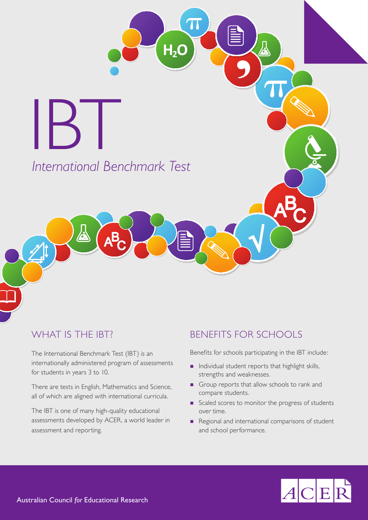*International Benchmark Test* IBT

 $H<sub>2</sub>O$ 

# WHAT IS THE IBT?

**J.** 

The International Benchmark Test (IBT) is an internationally administered program of assessments for students in years 3 to 10.

There are tests in English, Mathematics and Science, all of which are aligned with international curricula.

The IBT is one of many high-quality educational assessments developed by ACER, a world leader in assessment and reporting.

# BENEFITS FOR SCHOOLS

Benefits for schools participating in the IBT include:

- **n** Individual student reports that highlight skills, strengths and weaknesses.
- Group reports that allow schools to rank and compare students.
- Scaled scores to monitor the progress of students over time.
- Regional and international comparisons of student and school performance.